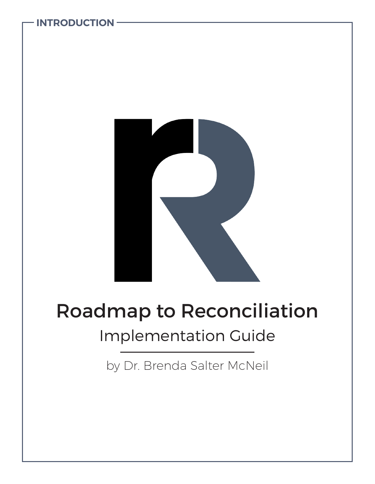

**INTRODUCTION**

# Roadmap to Reconciliation Implementation Guide

by Dr. Brenda Salter McNeil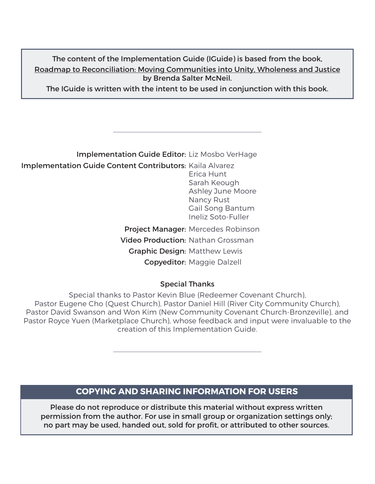#### The content of the Implementation Guide (IGuide) is based from the book, Roadmap to Reconciliation: Moving Communities into Unity, Wholeness and Justice by Brenda Salter McNeil.

The IGuide is written with the intent to be used in conjunction with this book.

#### Implementation Guide Editor: Liz Mosbo VerHage Implementation Guide Content Contributors: Kaila Alvarez Project Manager: Mercedes Robinson Video Production: Nathan Grossman Graphic Design: Matthew Lewis Copyeditor: Maggie Dalzell Erica Hunt Sarah Keough Ashley June Moore Nancy Rust Gail Song Bantum Ineliz Soto-Fuller

#### Special Thanks

Special thanks to Pastor Kevin Blue (Redeemer Covenant Church), Pastor Eugene Cho (Quest Church), Pastor Daniel Hill (River City Community Church), Pastor David Swanson and Won Kim (New Community Covenant Church-Bronzeville), and Pastor Royce Yuen (Marketplace Church), whose feedback and input were invaluable to the creation of this Implementation Guide.

#### **COPYING AND SHARING INFORMATION FOR USERS**

Please do not reproduce or distribute this material without express written permission from the author. For use in small group or organization settings only; no part may be used, handed out, sold for profit, or attributed to other sources.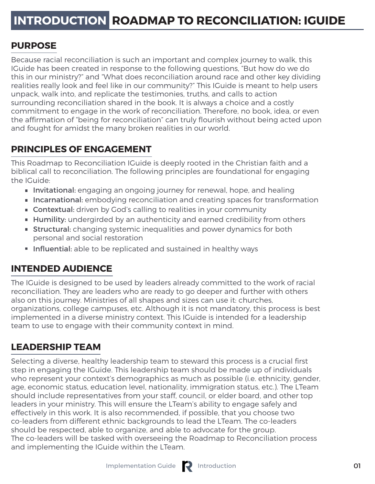#### **PURPOSE**

Because racial reconciliation is such an important and complex journey to walk, this IGuide has been created in response to the following questions, "But how do we do this in our ministry?" and "What does reconciliation around race and other key dividing realities really look and feel like in our community?" This IGuide is meant to help users unpack, walk into, and replicate the testimonies, truths, and calls to action surrounding reconciliation shared in the book. It is always a choice and a costly commitment to engage in the work of reconciliation. Therefore, no book, idea, or even the affirmation of "being for reconciliation" can truly flourish without being acted upon and fought for amidst the many broken realities in our world.

#### **PRINCIPLES OF ENGAGEMENT**

This Roadmap to Reconciliation IGuide is deeply rooted in the Christian faith and a biblical call to reconciliation. The following principles are foundational for engaging the IGuide:

- **Invitational:** engaging an ongoing journey for renewal, hope, and healing
- **Incarnational:** embodying reconciliation and creating spaces for transformation
- **Contextual:** driven by God's calling to realities in your community
- **Humility:** undergirded by an authenticity and earned credibility from others
- **Structural:** changing systemic inequalities and power dynamics for both personal and social restoration
- **Influential:** able to be replicated and sustained in healthy ways

#### **INTENDED AUDIENCE**

The IGuide is designed to be used by leaders already committed to the work of racial reconciliation. They are leaders who are ready to go deeper and further with others also on this journey. Ministries of all shapes and sizes can use it: churches, organizations, college campuses, etc. Although it is not mandatory, this process is best implemented in a diverse ministry context. This IGuide is intended for a leadership team to use to engage with their community context in mind.

## **LEADERSHIP TEAM**

Selecting a diverse, healthy leadership team to steward this process is a crucial first step in engaging the IGuide. This leadership team should be made up of individuals who represent your context's demographics as much as possible (i.e. ethnicity, gender, age, economic status, education level, nationality, immigration status, etc.). The LTeam should include representatives from your staff, council, or elder board, and other top leaders in your ministry. This will ensure the LTeam's ability to engage safely and effectively in this work. It is also recommended, if possible, that you choose two co-leaders from different ethnic backgrounds to lead the LTeam. The co-leaders should be respected, able to organize, and able to advocate for the group. The co-leaders will be tasked with overseeing the Roadmap to Reconciliation process and implementing the IGuide within the LTeam.

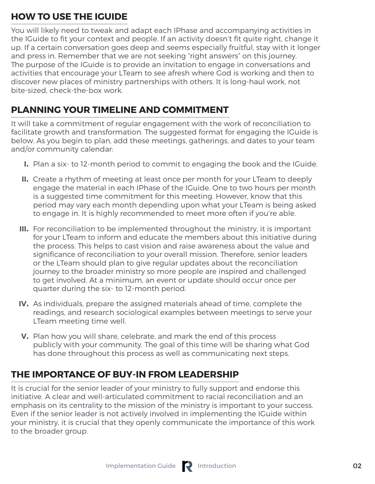#### **HOW TO USE THE IGUIDE**

You will likely need to tweak and adapt each IPhase and accompanying activities in the IGuide to fit your context and people. If an activity doesn't fit quite right, change it up. If a certain conversation goes deep and seems especially fruitful, stay with it longer and press in. Remember that we are not seeking "right answers" on this journey. The purpose of the IGuide is to provide an invitation to engage in conversations and activities that encourage your LTeam to see afresh where God is working and then to discover new places of ministry partnerships with others. It is long-haul work, not bite-sized, check-the-box work.

#### **PLANNING YOUR TIMELINE AND COMMITMENT**

It will take a commitment of regular engagement with the work of reconciliation to facilitate growth and transformation. The suggested format for engaging the IGuide is below. As you begin to plan, add these meetings, gatherings, and dates to your team and/or community calendar:

- Plan a six- to 12-month period to commit to engaging the book and the IGuide. **I.**
- Create a rhythm of meeting at least once per month for your LTeam to deeply **II.** engage the material in each IPhase of the IGuide. One to two hours per month is a suggested time commitment for this meeting. However, know that this period may vary each month depending upon what your LTeam is being asked to engage in. It is highly recommended to meet more often if you're able.
- III. For reconciliation to be implemented throughout the ministry, it is important for your LTeam to inform and educate the members about this initiative during the process. This helps to cast vision and raise awareness about the value and significance of reconciliation to your overall mission. Therefore, senior leaders or the LTeam should plan to give regular updates about the reconciliation journey to the broader ministry so more people are inspired and challenged to get involved. At a minimum, an event or update should occur once per quarter during the six- to 12-month period.
- IV. As individuals, prepare the assigned materials ahead of time, complete the readings, and research sociological examples between meetings to serve your LTeam meeting time well.
- **V.** Plan how you will share, celebrate, and mark the end of this process publicly with your community. The goal of this time will be sharing what God has done throughout this process as well as communicating next steps.

#### **THE IMPORTANCE OF BUY-IN FROM LEADERSHIP**

It is crucial for the senior leader of your ministry to fully support and endorse this initiative. A clear and well-articulated commitment to racial reconciliation and an emphasis on its centrality to the mission of the ministry is important to your success. Even if the senior leader is not actively involved in implementing the IGuide within your ministry, it is crucial that they openly communicate the importance of this work to the broader group.

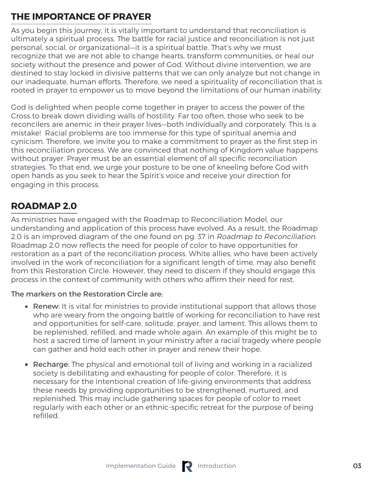#### **THE IMPORTANCE OF PRAYER**

As you begin this journey, it is vitally important to understand that reconciliation is ultimately a spiritual process. The battle for racial justice and reconciliation is not just personal, social, or organizational—it is a spiritual battle. That's why we must recognize that we are not able to change hearts, transform communities, or heal our society without the presence and power of God. Without divine intervention, we are destined to stay locked in divisive patterns that we can only analyze but not change in our inadequate, human efforts. Therefore, we need a spirituality of reconciliation that is rooted in prayer to empower us to move beyond the limitations of our human inability.

God is delighted when people come together in prayer to access the power of the Cross to break down dividing walls of hostility. Far too often, those who seek to be reconcilers are anemic in their prayer lives—both individually and corporately. This is a mistake! Racial problems are too immense for this type of spiritual anemia and cynicism. Therefore, we invite you to make a commitment to prayer as the first step in this reconciliation process. We are convinced that nothing of Kingdom value happens without prayer. Prayer must be an essential element of all specific reconciliation strategies. To that end, we urge your posture to be one of kneeling before God with open hands as you seek to hear the Spirit's voice and receive your direction for engaging in this process.

# **ROADMAP 2.0**

As ministries have engaged with the Roadmap to Reconciliation Model, our understanding and application of this process have evolved. As a result, the Roadmap 2.0 is an improved diagram of the one found on pg. 37 in Roadmap to Reconciliation. Roadmap 2.0 now reflects the need for people of color to have opportunities for restoration as a part of the reconciliation process. White allies, who have been actively involved in the work of reconciliation for a significant length of time, may also benefit from this Restoration Circle. However, they need to discern if they should engage this process in the context of community with others who affirm their need for rest.

#### The markers on the Restoration Circle are:

- **Renew:** It is vital for ministries to provide institutional support that allows those who are weary from the ongoing battle of working for reconciliation to have rest and opportunities for self-care, solitude, prayer, and lament. This allows them to be replenished, refilled, and made whole again. An example of this might be to host a sacred time of lament in your ministry after a racial tragedy where people can gather and hold each other in prayer and renew their hope.
- **Recharge:** The physical and emotional toll of living and working in a racialized society is debilitating and exhausting for people of color. Therefore, it is necessary for the intentional creation of life-giving environments that address these needs by providing opportunities to be strengthened, nurtured, and replenished. This may include gathering spaces for people of color to meet regularly with each other or an ethnic-specific retreat for the purpose of being refilled.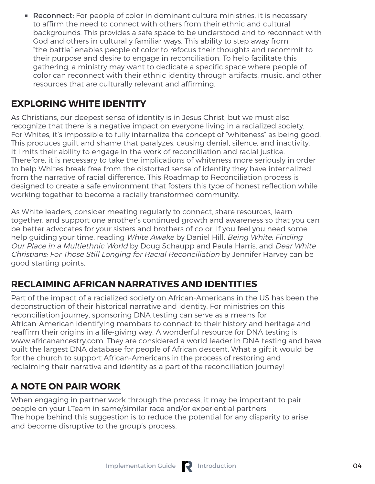**Reconnect:** For people of color in dominant culture ministries, it is necessary to affirm the need to connect with others from their ethnic and cultural backgrounds. This provides a safe space to be understood and to reconnect with God and others in culturally familiar ways. This ability to step away from "the battle" enables people of color to refocus their thoughts and recommit to their purpose and desire to engage in reconciliation. To help facilitate this gathering, a ministry may want to dedicate a specific space where people of color can reconnect with their ethnic identity through artifacts, music, and other resources that are culturally relevant and affirming.

# **EXPLORING WHITE IDENTITY**

As Christians, our deepest sense of identity is in Jesus Christ, but we must also recognize that there is a negative impact on everyone living in a racialized society. For Whites, it's impossible to fully internalize the concept of "whiteness" as being good. This produces guilt and shame that paralyzes, causing denial, silence, and inactivity. It limits their ability to engage in the work of reconciliation and racial justice. Therefore, it is necessary to take the implications of whiteness more seriously in order to help Whites break free from the distorted sense of identity they have internalized from the narrative of racial difference. This Roadmap to Reconciliation process is designed to create a safe environment that fosters this type of honest reflection while working together to become a racially transformed community.

As White leaders, consider meeting regularly to connect, share resources, learn together, and support one another's continued growth and awareness so that you can be better advocates for your sisters and brothers of color. If you feel you need some help guiding your time, reading White Awake by Daniel Hill, Being White: Finding Our Place in a Multiethnic World by Doug Schaupp and Paula Harris, and Dear White Christians: For Those Still Longing for Racial Reconciliation by Jennifer Harvey can be good starting points.

## **RECLAIMING AFRICAN NARRATIVES AND IDENTITIES**

Part of the impact of a racialized society on African-Americans in the US has been the deconstruction of their historical narrative and identity. For ministries on this reconciliation journey, sponsoring DNA testing can serve as a means for African-American identifying members to connect to their history and heritage and reaffirm their origins in a life-giving way. A wonderful resource for DNA testing is www.africanancestry.com. They are considered a world leader in DNA testing and have built the largest DNA database for people of African descent. What a gift it would be for the church to support African-Americans in the process of restoring and reclaiming their narrative and identity as a part of the reconciliation journey!

## **A NOTE ON PAIR WORK**

When engaging in partner work through the process, it may be important to pair people on your LTeam in same/similar race and/or experiential partners. The hope behind this suggestion is to reduce the potential for any disparity to arise and become disruptive to the group's process.